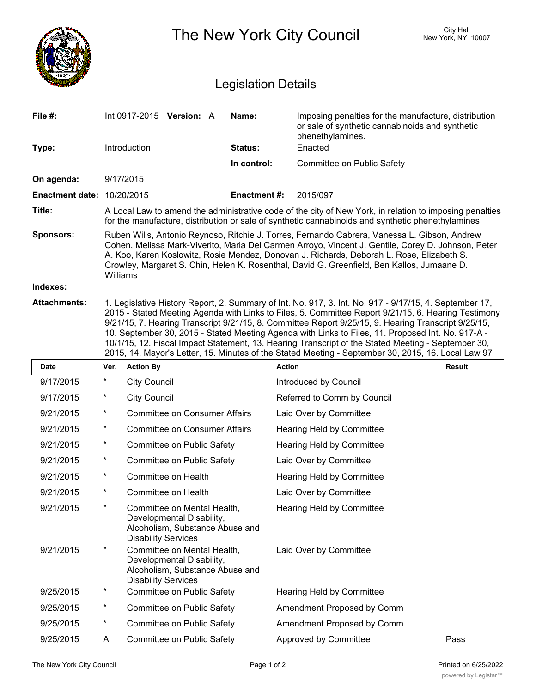

| 9/17/2015 | $^\star$ | <b>City Council</b>                                                                                                       | Introduced by Council       |      |
|-----------|----------|---------------------------------------------------------------------------------------------------------------------------|-----------------------------|------|
| 9/17/2015 | $^\star$ | <b>City Council</b>                                                                                                       | Referred to Comm by Council |      |
| 9/21/2015 | $\ast$   | <b>Committee on Consumer Affairs</b>                                                                                      | Laid Over by Committee      |      |
| 9/21/2015 | $\ast$   | <b>Committee on Consumer Affairs</b>                                                                                      | Hearing Held by Committee   |      |
| 9/21/2015 | $\ast$   | Committee on Public Safety                                                                                                | Hearing Held by Committee   |      |
| 9/21/2015 | $^\star$ | Committee on Public Safety                                                                                                | Laid Over by Committee      |      |
| 9/21/2015 | $\star$  | Committee on Health                                                                                                       | Hearing Held by Committee   |      |
| 9/21/2015 | $\ast$   | Committee on Health                                                                                                       | Laid Over by Committee      |      |
| 9/21/2015 | $^\star$ | Committee on Mental Health,<br>Developmental Disability,<br>Alcoholism, Substance Abuse and<br><b>Disability Services</b> | Hearing Held by Committee   |      |
| 9/21/2015 | $\ast$   | Committee on Mental Health,<br>Developmental Disability,<br>Alcoholism, Substance Abuse and<br><b>Disability Services</b> | Laid Over by Committee      |      |
| 9/25/2015 | $\ast$   | Committee on Public Safety                                                                                                | Hearing Held by Committee   |      |
| 9/25/2015 | $\ast$   | Committee on Public Safety                                                                                                | Amendment Proposed by Comm  |      |
| 9/25/2015 | $\ast$   | Committee on Public Safety                                                                                                | Amendment Proposed by Comm  |      |
| 9/25/2015 | A        | Committee on Public Safety                                                                                                | Approved by Committee       | Pass |